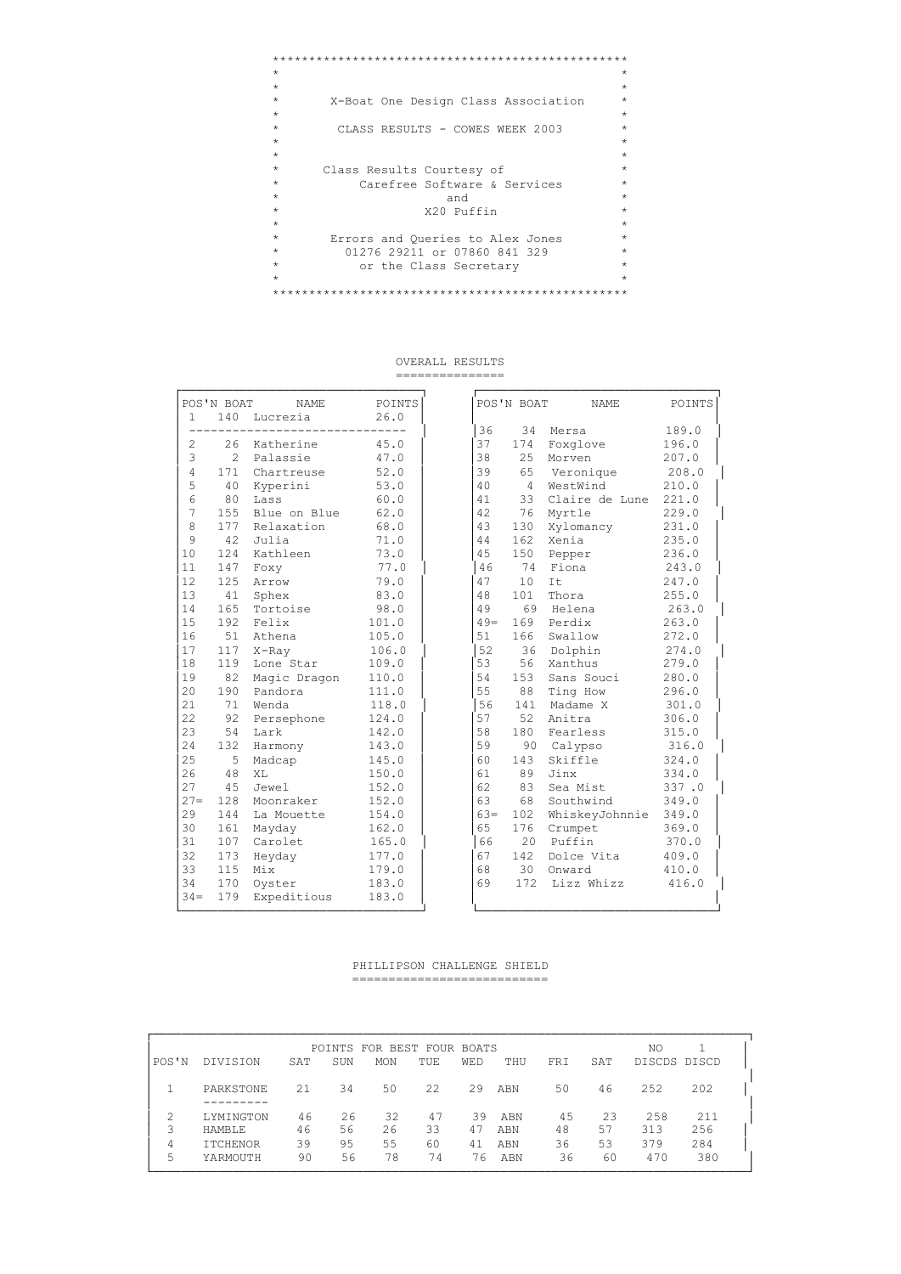```
\star\starX-Boat One Design Class Association
\starCLASS RESULTS - COWES WEEK 2003
\star\star\star\star\starClass Results Courtesy of
                                                  \sim\starCarefree Software & Services
                                                 \star\starand<br>X20 Puffin
                                                  \star_{\star}\rightarrow\star\starErrors and Queries to Alex Jones<br>01276 29211 or 07860 841 329
\star\star\star\star\staror the Class Secretary
                                                  \star\star\rightarrow
```
#### OVERALL RESULTS ===============

|                        | POS'N BOAT | NAME            | POINTS |
|------------------------|------------|-----------------|--------|
| $1 \quad \blacksquare$ |            | 140 Lucrezia    | 26.0   |
|                        |            |                 |        |
| 2                      |            | 26 Katherine    | 45.0   |
| 3                      | 2          | Palassie        | 47.0   |
| $\overline{4}$         |            | 171 Chartreuse  | 52.0   |
| 5                      |            | 40 Kyperini     | 53.0   |
| $\overline{6}$         | 80         | Lass            | 60.0   |
| 7<br>8                 | 155        | Blue on Blue    | 62.0   |
|                        |            | 177 Relaxation  | 68.0   |
| 9                      | 42         | Julia           | 71.0   |
| 10                     |            | 124 Kathleen    | 73.0   |
| 11                     |            | 147 Foxy        | 77.0   |
| 12 <sup>°</sup>        |            | 125 Arrow       | 79.0   |
| 13                     | 41         | Sphex           | 83.0   |
| 14                     |            | 165 Tortoise    | 98.0   |
| 15                     | 192        | Felix           | 101.0  |
| 16                     | 51         | Athena          | 105.0  |
| 17                     | 117        | X-Ray           | 106.0  |
| 18                     | 119        | Lone Star       | 109.0  |
| 19                     |            | 82 Magic Dragon | 110.0  |
| 20                     | 190        | Pandora         | 111.0  |
| 21                     | 71         | Wenda           | 118.0  |
| 2.2.                   | 92         | Persephone      | 124.0  |
| 23                     | 54         | Lark            | 142.0  |
| 24                     | 132        | Harmony         | 143.0  |
| 25                     | 5          | Madcap          | 145.0  |
| 26                     | 48         | XT <sub>1</sub> | 150.0  |
| 27                     | 45         | Jewel           | 152.0  |
| $27 =$                 | 128        | Moonraker       | 152.0  |
| 29                     | 144        | La Mouette      | 154.0  |
| 30                     | 161        | Mayday          | 162.0  |
| 31                     | 107        | Carolet         | 165.0  |
| 32                     |            | 173 Heyday      | 177.0  |
| 33                     | 115        | Mix             | 179.0  |
| 34                     | 170        | Oyster          | 183.0  |
| $34 =$                 |            | 179 Expeditious | 183.0  |

|        | POS'N BOAT     | NAME           | POINTS |
|--------|----------------|----------------|--------|
| 36     | 34             | Mersa          | 189.0  |
| 37     | 174            | Foxglove       | 196.0  |
| 38     | 25             | Morven         | 207.0  |
| 39     | 65             | Veronique      | 208.0  |
| 40     | $\overline{4}$ | WestWind       | 210.0  |
| 41     | 33             | Claire de Lune | 221.0  |
| 42     | 76             | Myrtle         | 229.0  |
| 43     | 130            | Xylomancy      | 231.0  |
| 44     | 162            | Xenia          | 235.0  |
| 45     | 150            | Pepper         | 236.0  |
| 46     | 74             | Fiona          | 243.0  |
| 47     | 10             | It             | 247.0  |
| 48     | 101            | Thora          | 255.0  |
| 49     |                | 69 Helena      | 263.0  |
| $49 =$ | 169            | Perdix         | 263.0  |
| 51     | 166            | Swallow        | 272.0  |
| 52     |                | 36 Dolphin     | 274.0  |
| 53     | 56             | Xanthus        | 279.0  |
| 54     | 153            | Sans Souci     | 280.0  |
| 55     | 88             | Ting How       | 296.0  |
| 56     | 141            | Madame X       | 301.0  |
| 57     | 52             | Anitra         | 306.0  |
| 58     | 180            | Fearless       | 315.0  |
| 59     | 90             | Calypso        | 316.0  |
| 60     | 143            | Skiffle        | 324.0  |
| 61     | 89             | Jinx           | 334.0  |
| 62     | 83             | Sea Mist       | 337.0  |
| 63     | 68             | Southwind      | 349.0  |
| $63=$  | 102            | WhiskeyJohnnie | 349.0  |
| 65     | 176            | Crumpet        | 369.0  |
| 66     |                | 20 Puffin      | 370.0  |
| 67     | 142            | Dolce Vita     | 409.0  |
| 68     |                | 30 Onward      | 410.0  |
| 69     | 172            | Lizz Whizz     | 416.0  |
|        |                |                |        |

#### PHILLIPSON CHALLENGE SHIELD ----------------------------

|       |                 |     |     | POINTS FOR BEST FOUR BOATS |      |     |     |     |     | NO           |     |
|-------|-----------------|-----|-----|----------------------------|------|-----|-----|-----|-----|--------------|-----|
| POS'N | DIVISION        | SAT | SUN | <b>MON</b>                 | TUE  | WED | THU | FRI | SAT | DISCDS DISCD |     |
|       | PARKSTONE       | 21  | 34  | 50                         | 2.2. | 29  | ABN | 50  | 46  | 252          | 202 |
|       | LYMINGTON       | 46  | 26  | 32                         | 47   | 39  | ABN | 45  | 23  | 258          | 211 |
| 3     | <b>HAMBLE</b>   | 46  | 56  | 26                         | 33   | 47  | ABN | 48  | 57  | 313          | 256 |
| 4     | <b>ITCHENOR</b> | 39  | 95  | 55                         | 60   | 41  | ABN | 36  | 53  | 379          | 284 |
| 5     | YARMOUTH        | 90  | 56  | 78                         | 74   | 76  | ABN | 36  | 60  | 470          | 380 |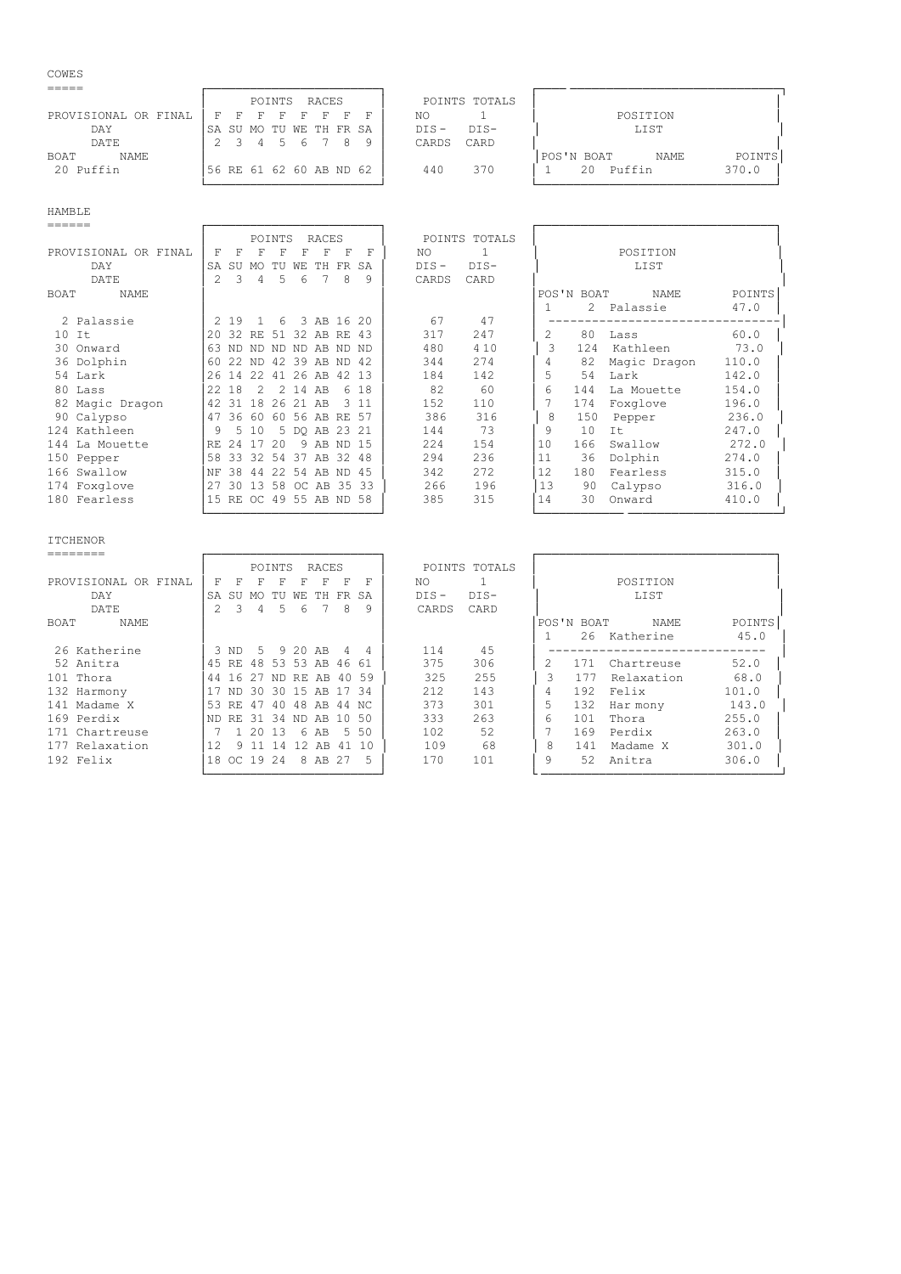# COWES<sup>-</sup>

|                      | RACES<br>POINTS             | POINTS TOTALS     |                                 |
|----------------------|-----------------------------|-------------------|---------------------------------|
| PROVISIONAL OR FINAL | П<br>ਸ<br>- F<br>F.<br>- 53 | NO                | POSITION                        |
| DAY                  | ISA SU MO TU WE TH FR SA    | $DTS -$<br>$DTS-$ | LIST                            |
| DATE                 | 6<br>4<br>$\mathcal{D}$     | CARD<br>CARDS     |                                 |
| NAME<br>BOAT         |                             |                   | POINTS<br> POS'N BOAT<br>NAME   |
| 20 Puffin            | 56 RE 61 62 60 AB ND 62     | 370<br>440        | Puffin<br>370.0<br>$20^{\circ}$ |
|                      |                             |                   |                                 |

# HAMBLE

|                      |               |               |               | POINTS         |   | RACES                   |   |       |         | POINTS TOTALS  |    |            |              |               |
|----------------------|---------------|---------------|---------------|----------------|---|-------------------------|---|-------|---------|----------------|----|------------|--------------|---------------|
| PROVISIONAL OR FINAL | F             | F             | F             | F              | F | F                       | F | F     | NO.     | $\overline{1}$ |    |            | POSITION     |               |
| DAY                  | SA            | SU            | MO TU         |                |   | WE TH FR                |   | SA    | $DIS -$ | $DIS-$         |    |            | LIST         |               |
| DATE                 | $\mathcal{P}$ | $\mathcal{L}$ | 4             | $\overline{5}$ | 6 |                         | 8 | 9     | CARDS   | CARD           |    |            |              |               |
| BOAT<br>NAME         |               |               |               |                |   |                         |   |       |         |                |    | POS'N BOAT | NAME         | <b>POINTS</b> |
|                      |               |               |               |                |   |                         |   |       |         |                |    |            | 2 Palassie   | 47.0          |
| 2 Palassie           |               | 2 19          |               | 1 6            |   | 3 AB 16 20              |   |       | 67      | 47             |    |            |              |               |
| $10$ It              |               |               |               |                |   | 20 32 RE 51 32 AB RE 43 |   |       | 317     | 247            | 2. | 80         | Lass         | 60.0          |
| 30 Onward            |               |               |               |                |   | 63 ND ND ND ND AB ND ND |   |       | 480     | 4 1 0          | 3  | 124        | Kathleen     | 73.0          |
| 36 Dolphin           | 60            | 2.2           | ND.           |                |   | 42 39 AB ND 42          |   |       | 344     | 274            |    | 82         | Magic Dragon | 110.0         |
| 54 Lark              |               |               | 26 14 22      |                |   | 41 26 AB 42 13          |   |       | 184     | 142            | 5  | 54         | Lark         | 142.0         |
| 80 Lass              |               | 22 18         | $\mathcal{L}$ |                |   | 2 14 AB                 |   | 6 18  | 82      | 60             | 6  | 144        | La Mouette   | 154.0         |
| 82 Magic Dragon      | 42            | 31            |               |                |   | 18 26 21 AB             |   | 3 1 1 | 152     | 110            |    | 174        | Foxglove     | 196.0         |
| 90 Calypso           |               |               | 47 36 60      |                |   | 60 56 AB RE 57          |   |       | 386     | 316            | 8  | 150        | Pepper       | 236.0         |
| 124 Kathleen         | 9             |               | 5 10          |                |   | 5 DO AB 23 21           |   |       | 144     | 73             | 9  | 10         | It           | 247.0         |
| 144 La Mouette       |               |               | RE 24 17 20   |                |   | 9 AB ND 15              |   |       | 224     | 154            | 10 | 166        | Swallow      | 272.0         |
| 150 Pepper           | 58            |               |               |                |   | 33 32 54 37 AB 32 48    |   |       | 294     | 236            | 11 | 36         | Dolphin      | 274.0         |
| 166 Swallow          | NF            | 38            | 44            |                |   | 22 54 AB ND 45          |   |       | 342     | 272            | 12 | 180        | Fearless     | 315.0         |
| 174 Foxglove         | 27            |               |               |                |   | 30 13 58 OC AB 35 33    |   |       | 266     | 196            | 13 | 90         | Calypso      | 316.0         |
| 180 Fearless         |               |               |               |                |   | 15 RE OC 49 55 AB ND 58 |   |       | 385     | 315            | 14 | 30         | Onward       | 410.0         |
|                      |               |               |               |                |   |                         |   |       |         |                |    |            |              |               |
|                      |               |               |               |                |   |                         |   |       |         |                |    |            |              |               |

ITCHENOR<br>========

|                         | <b>POINTS</b><br>POINTS TOTALS<br>RACES                                           |        |
|-------------------------|-----------------------------------------------------------------------------------|--------|
| PROVISIONAL<br>OR FINAL | POSITION<br>NO.<br>F<br>F<br>F<br>F<br>F<br>F<br>R                                |        |
| DAY                     | $DIS -$<br>$DIS-$<br>LIST<br><b>SA</b><br>FR SA<br>-SU<br>WF.<br>TH.<br>TU<br>MO. |        |
| DATE                    | CARD<br>2<br>8<br>9<br>CARDS<br>5<br>6<br>4                                       |        |
| NAME<br>BOAT            | POS'N BOAT<br><b>NAME</b>                                                         | POINTS |
|                         | 26<br>Katherine                                                                   | 45.0   |
| 26 Katherine            | 9 20 AB<br>45<br>.5<br>114<br>R ND<br>$\Delta$<br>4                               |        |
| 52 Anitra               | 306<br>375<br>53 53 AB<br>45<br>48<br>Chartreuse<br>46 61<br>171<br>RE.           | 52.0   |
| 101 Thora               | 325<br>255<br>3<br>177<br>27<br>40 59<br>Relaxation<br>ND RE AB<br>44<br>-16      | 68.0   |
| 132 Harmony             | 212<br>143<br>192<br>Felix<br>30 15 AB<br>4<br>30<br>1734<br>ND.                  | 101.0  |
| 141 Madame X            | 373<br>301<br>53<br>48 AB<br>132<br>47<br>4 O<br>44 NC<br>RE.<br>Har mony         | 143.0  |
| 169 Perdix              | 263<br>333<br>-50<br>101<br>Thora<br>-31<br>34 ND AB<br>1 O<br>ND.<br>RE.<br>6    | 255.0  |
| 171 Chartreuse          | 52<br>102<br>5, 50<br>169<br>Perdix<br>13<br>6 AB                                 | 263.0  |
| 177 Relaxation          | 68<br>12<br>109<br>8<br>Madame X<br>141<br>12 AB<br>41<br>1 N<br>- 11<br>4        | 301.0  |
| 192 Felix               | 170<br>101<br>9<br>Anitra<br>18<br>19 24<br>52<br>8 AB<br>-27<br>OC.<br>5         | 306.0  |
|                         |                                                                                   |        |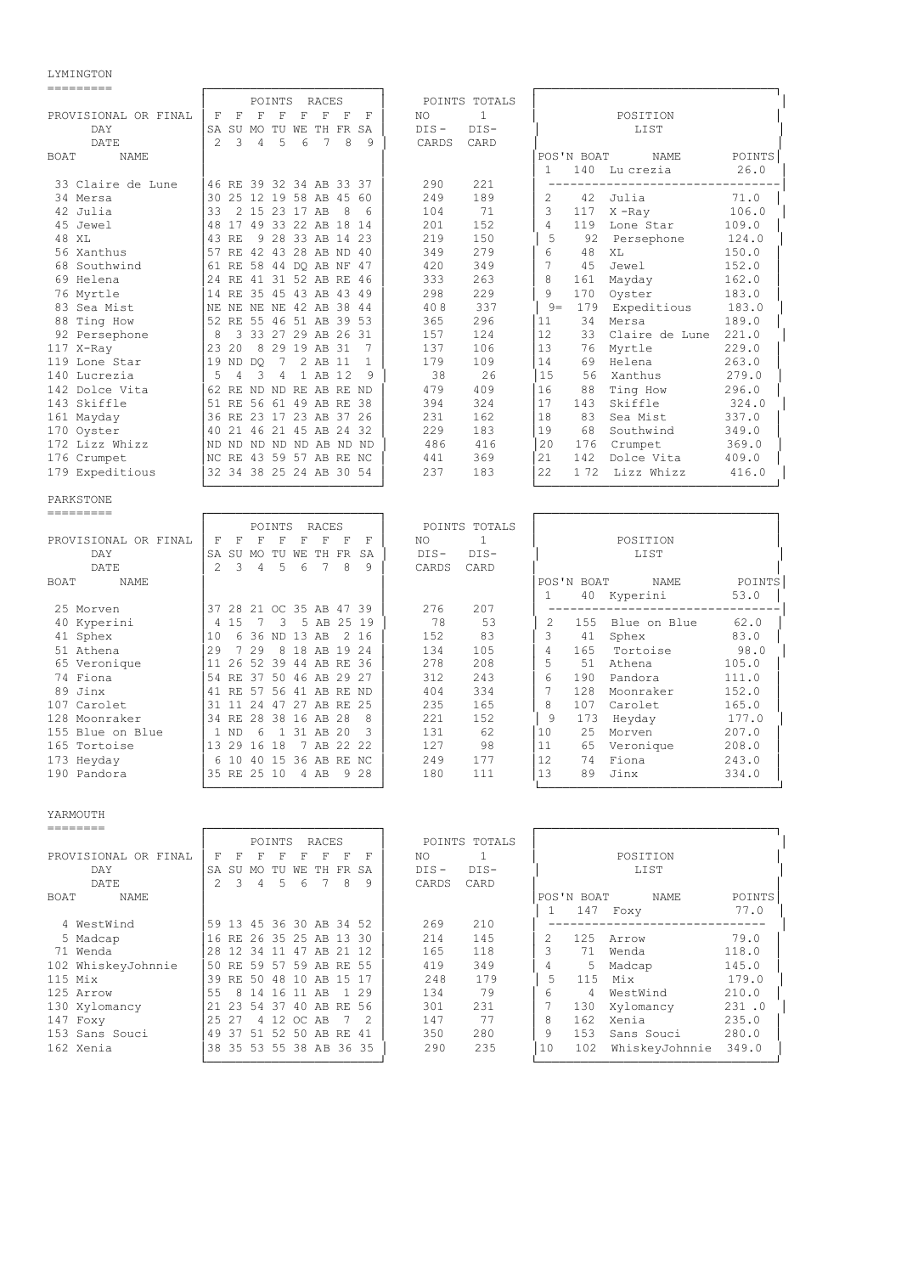## LYMINGTON

|  |  |  | ---------- |  |  |  |
|--|--|--|------------|--|--|--|
|  |  |  |            |  |  |  |
|  |  |  |            |  |  |  |

| ---------                         |                                                                      |                                          |                                        |                |
|-----------------------------------|----------------------------------------------------------------------|------------------------------------------|----------------------------------------|----------------|
|                                   | POINTS<br>RACES                                                      | POINTS TOTALS                            |                                        |                |
| PROVISIONAL OR FINAL              | $\mathbf F$<br>F<br>F<br>F<br>F<br>F<br>F<br>$-$ F                   | $\mathbf{1}$<br>NO                       | POSITION                               |                |
| DAY                               | SA SU MO TU WE TH FR SA                                              | $DIS -$<br>$DIS-$                        | LIST                                   |                |
| DATE                              | $\mathfrak{D}$<br>$\overline{4}$<br>5<br>6<br>7<br>8<br>3<br>9       | CARDS<br>CARD                            |                                        |                |
| BOAT<br>NAME                      |                                                                      |                                          | POS'N BOAT<br>NAME                     | POINTS         |
|                                   |                                                                      |                                          | 140 Lu crezia<br>$\mathbf{1}$          | 26.0           |
| 33 Claire de Lune                 | 46 RE 39 32 34 AB 33 37                                              | 221<br>290                               | ---------------------                  |                |
| 34 Mersa                          | 30 25 12 19 58 AB 45 60                                              | 189<br>249                               | 2<br>42<br>Julia                       | 71.0           |
| 42 Julia                          | 2 15 23 17 AB<br>33<br>- 8<br>6                                      | 104<br>71                                | 3<br>$X$ -Ray<br>117<br>$\overline{4}$ | 106.0          |
| 45 Jewel<br>48 XL                 | 48 17 49 33 22 AB 18 14<br>43 RE<br>9 28 33 AB 14 23                 | 152<br>201<br>219<br>150                 | 119<br>Lone Star<br>5                  | 109.0          |
| 56 Xanthus                        | 57 RE 42 43 28 AB ND 40                                              | 349<br>279                               | 92<br>Persephone<br>48<br>6<br>ΧL      | 124.0<br>150.0 |
| 68 Southwind                      | 61 RE 58 44 DQ AB NF 47                                              | 349<br>420                               | 7<br>45<br>Jewel                       | 152.0          |
| 69 Helena                         | 24 RE 41 31 52 AB RE 46                                              | 333<br>263                               | 8<br>161<br>Mayday                     | 162.0          |
| 76 Myrtle                         | 14 RE 35 45 43 AB 43 49                                              | 298<br>229                               | 9<br>170<br>Oyster                     | 183.0          |
| 83 Sea Mist                       | NE NE NE 42 AB 38 44<br>NE                                           | 337<br>408                               | $9 =$<br>179<br>Expeditious            | 183.0          |
| 88 Ting How                       | 52 RE 55 46 51 AB 39 53                                              | 296<br>365                               | 11<br>34<br>Mersa                      | 189.0          |
| 92 Persephone                     | 3 33 27 29 AB 26 31<br>- 8                                           | 124<br>157                               | 12<br>33<br>Claire de Lune 221.0       |                |
| 117 X-Ray                         | 8 29 19 AB 31<br>23 20<br>7                                          | 137<br>106                               | 13<br>76<br>Myrtle                     | 229.0          |
| 119 Lone Star                     | 7<br>2 AB 11<br>19 ND DO<br>$\mathbf{1}$                             | 109<br>179                               | 14<br>69<br>Helena                     | 263.0          |
| 140 Lucrezia                      | -5<br>3<br>1 AB 12<br>4<br>4<br>9                                    | 26<br>38                                 | 15<br>56<br>Xanthus                    | 279.0          |
| 142 Dolce Vita                    | 62 RE ND ND RE AB RE ND                                              | 409<br>479                               | 16<br>88<br>Ting How                   | 296.0          |
| 143 Skiffle                       | 51 RE 56 61 49 AB RE 38                                              | 394<br>324                               | 17<br>143<br>Skiffle                   | 324.0          |
| 161 Mayday                        | 36 RE 23 17 23 AB 37 26                                              | 231<br>162                               | 18<br>83<br>Sea Mist                   | 337.0          |
| 170 Oyster                        | 40 21 46 21 45 AB 24 32                                              | 229<br>183                               | 19<br>68<br>Southwind                  | 349.0          |
| 172 Lizz Whizz                    | Ind nd nd nd nd ab nd nd                                             | 486<br>416                               | 20<br>176<br>Crumpet                   | 369.0          |
| 176 Crumpet                       | NC RE 43 59 57 AB RE NC                                              | 441<br>369                               | 21<br>142<br>Dolce Vita                | 409.0          |
| 179 Expeditious                   | 32 34 38 25 24 AB 30 54                                              | 237<br>183                               | 22<br>172 Lizz Whizz                   | 416.0          |
|                                   |                                                                      |                                          |                                        |                |
| PARKSTONE<br>=========            |                                                                      |                                          |                                        |                |
|                                   | POINTS<br>RACES                                                      | POINTS TOTALS                            |                                        |                |
| PROVISIONAL OR FINAL              | $_{\rm F}$<br>$\mathbf F$<br>F<br>F<br>F<br>$\mathbf{F}$<br>– F<br>F | $\mathbf{1}$<br>ΝO                       | POSITION                               |                |
| DAY                               | SA SU MO TU WE TH FR<br>SA                                           | $DIS-$<br>$DIS-$                         | LIST                                   |                |
| DATE                              | $\mathfrak{D}$<br>3<br>$\overline{4}$<br>5<br>6<br>7<br>8<br>9       | CARD<br>CARDS                            |                                        |                |
| <b>BOAT</b><br>NAME               |                                                                      |                                          | POS'N BOAT<br>NAME                     | POINTS         |
|                                   |                                                                      |                                          | $\mathbf{1}$<br>40 Kyperini            | 53.0           |
| 25 Morven                         | 37 28 21 OC 35 AB 47 39                                              | 276<br>207                               | ----------------------                 |                |
| 40 Kyperini                       | 3 5 AB 25 19<br>4 15<br>$7\phantom{0}$                               | 78<br>53                                 | 2<br>155<br>Blue on Blue               | 62.0           |
| 41 Sphex                          | 10<br>6 36 ND 13 AB<br>2 16                                          | 152<br>83                                | 3<br>41<br>Sphex                       | 83.0           |
| 51 Athena                         | 29<br>7 29<br>8 18 AB 19 24                                          | 134<br>105                               | 4<br>165<br>Tortoise                   | 98.0           |
| 65 Veronique                      | 11 26 52 39 44 AB RE 36                                              | 278<br>208                               | 5<br>51 Athena                         | 105.0          |
| 74 Fiona                          | 54 RE 37 50 46 AB 29 27                                              | 312<br>243                               | 6<br>190<br>Pandora                    | 111.0          |
| 89 Jinx                           | 41 RE 57 56 41 AB RE ND                                              | 334<br>404                               | 7<br>128 Moonraker                     | 152.0          |
| 107 Carolet                       | 31 11 24 47 27 AB RE 25                                              | 235<br>165                               | 8<br>107<br>Carolet                    | 165.0<br>177.0 |
| 128 Moonraker<br>155 Blue on Blue | 34 RE 28 38 16 AB 28<br>8<br>6 1 31 AB 20<br>1 ND<br>3               | 221<br>152<br>131<br>62                  | - 9<br>173 Heyday<br>10<br>25          |                |
| 165 Tortoise                      | 7 AB 22 22<br>13 29 16 18                                            | 127<br>98                                | Morven<br>11<br>65<br>Veronique        | 207.0<br>208.0 |
| 173 Heyday                        | 6 10 40 15 36 AB RE NC                                               | 249<br>177                               | 12<br>74 Fiona                         | 243.0          |
| 190 Pandora                       | 35 RE 25 10 4 AB 9 28                                                | 180<br>111                               | 89 Jinx<br>13                          | 334.0          |
|                                   |                                                                      |                                          |                                        |                |
|                                   |                                                                      |                                          |                                        |                |
| YARMOUTH                          |                                                                      |                                          |                                        |                |
| --------                          |                                                                      |                                          |                                        |                |
|                                   |                                                                      |                                          |                                        |                |
|                                   | POINTS RACES                                                         | POINTS TOTALS                            |                                        |                |
| PROVISIONAL OR FINAL<br>DAY       | F F F F F F F<br>F<br>SA SU MO TU WE TH FR SA                        | $\mathbf{1}$<br>NO.<br>$DIS -$<br>$DIS-$ | POSITION<br>LIST                       |                |

| DAY                |         | SA SU                   | MO.        | TU |   | WE TH FR SA       |   |      | $DIS -$ | $DIS-$ |    |            | LIST           |        |  |
|--------------------|---------|-------------------------|------------|----|---|-------------------|---|------|---------|--------|----|------------|----------------|--------|--|
| DATE               |         |                         | 4          | .5 | 6 |                   | 8 | 9    | CARDS   | CARD   |    |            |                |        |  |
| BOAT<br>NAME       |         |                         |            |    |   |                   |   |      |         |        |    | POS'N BOAT | NAME           | POINTS |  |
|                    |         |                         |            |    |   |                   |   |      |         |        |    | 147        | Foxy           | 77.0   |  |
| 4 WestWind         |         | 59 13 45 36 30 AB 34 52 |            |    |   |                   |   |      | 269     | 210    |    |            |                |        |  |
| 5 Madcap           |         | 16 RE 26 35 25 AB 13 30 |            |    |   |                   |   |      | 214     | 145    |    | 125        | Arrow          | 79.0   |  |
| 71 Wenda           |         | 28 12 34 11 47 AB 21 12 |            |    |   |                   |   |      | 165     | 118    |    | 71         | Wenda          | 118.0  |  |
| 102 WhiskeyJohnnie |         | 50 RE 59 57 59 AB RE 55 |            |    |   |                   |   |      | 419     | 349    |    | 5          | Madcap         | 145.0  |  |
| $115$ Mix          |         | 39 RE 50 48 10 AB 15 17 |            |    |   |                   |   |      | 248     | 179    | 5  | 115        | Mix            | 179.0  |  |
| 125 Arrow          | 55      |                         | 8 14 16 11 |    |   | AB                |   | 1 29 | 134     | 79     | 6  | 4          | WestWind       | 210.0  |  |
| 130 Xylomancy      |         | 21 23                   |            |    |   | 54 37 40 AB RE 56 |   |      | 301     | 231    |    | 130        | Xylomancy      | 231.0  |  |
| 147 Foxy           | 2.5 2.7 |                         |            |    |   | 4 12 OC AB        | 7 |      | 147     | 77     | 8  | 162        | Xenia          | 235.0  |  |
| 153 Sans Souci     |         | 49 37                   | 51         |    |   | . 52 50 AB RE 41  |   |      | 350     | 280    | 9  | 153        | Sans Souci     | 280.0  |  |
| 162 Xenia          |         | 38 35 53 55 38 AB 36 35 |            |    |   |                   |   |      | 290     | 235    | 10 | 102        | WhiskeyJohnnie | 349.0  |  |

└────────────────────────┘ └─────────────────────────────────┘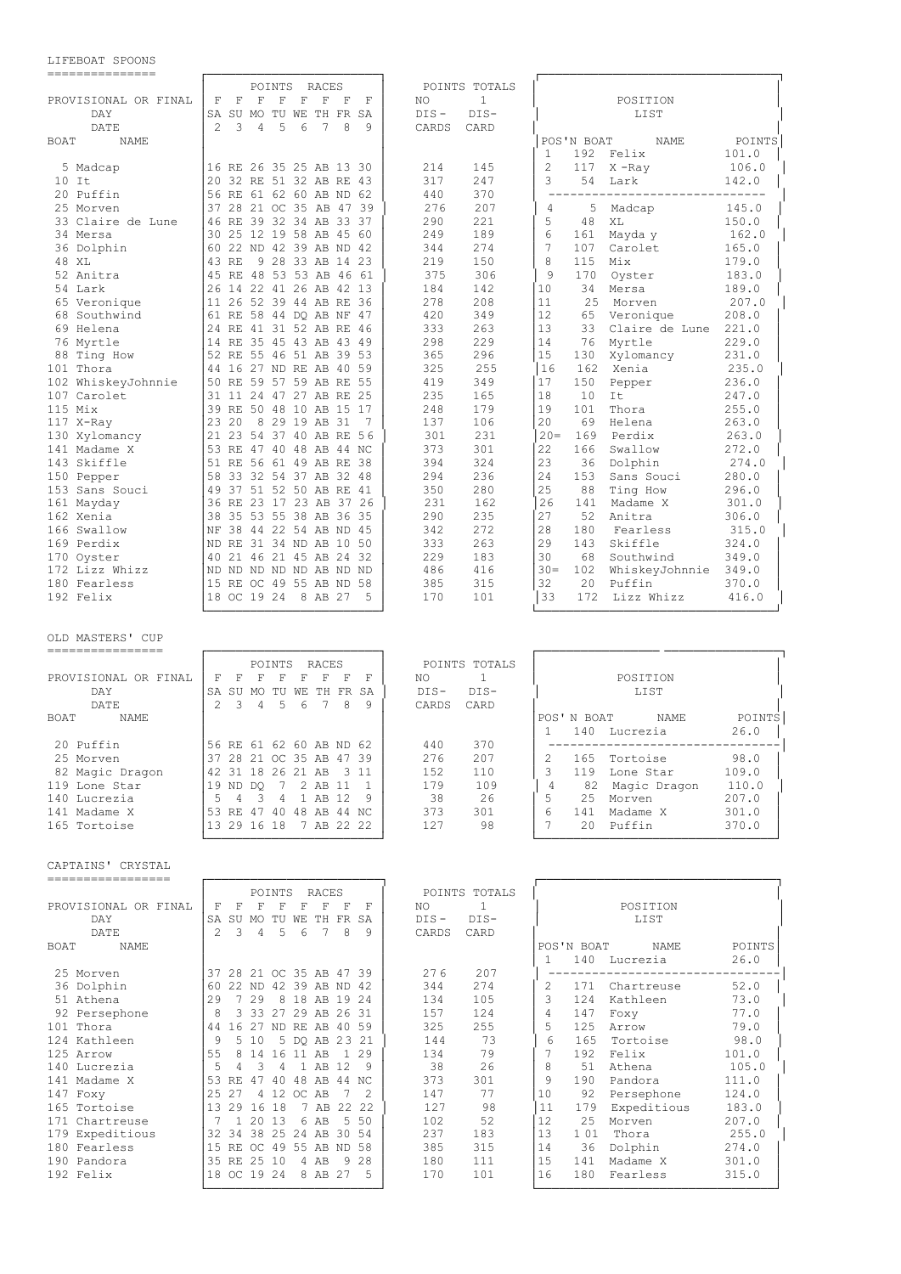# LIFEBOAT SPOONS

| ---------------                      |                                                                                 |                    |                                            |
|--------------------------------------|---------------------------------------------------------------------------------|--------------------|--------------------------------------------|
|                                      | POINTS<br>RACES                                                                 | POINTS TOTALS      |                                            |
| PROVISIONAL OR FINAL                 | F<br>$\mathbf F$<br>$\mathbf F$<br>F<br>F<br>F<br>F<br>F                        | NO<br>1            | POSITION                                   |
| DAY                                  | SA SU MO TU WE TH FR SA                                                         | $DIS-$<br>$DIS -$  | LIST                                       |
| DATE                                 | $\mathfrak{D}$<br>5<br>8<br>3<br>4<br>6<br>7<br>9                               | CARDS<br>CARD      |                                            |
| BOAT<br><b>NAME</b>                  |                                                                                 |                    | POS'N BOAT<br>NAME<br>POINTS               |
|                                      |                                                                                 |                    | 192<br>Felix<br>101.0<br>1                 |
| 5 Madcap                             | 16 RE 26 35 25 AB 13 30                                                         | 145<br>214         | $\overline{c}$<br>117<br>$X$ -Ray<br>106.0 |
| $10$ It                              | 20 32 RE 51 32 AB RE 43                                                         | 317<br>247         | 3<br>54<br>Lark<br>142.0                   |
| 20 Puffin                            | 56 RE 61 62 60 AB ND 62                                                         | 370<br>440         |                                            |
| 25 Morven                            | 37 28 21 OC 35 AB 47 39                                                         | 276<br>207         | 4<br>145.0<br>5<br>Madcap                  |
| 33 Claire de Lune                    | 46 RE 39 32 34 AB 33 37                                                         | 290<br>221         | 5<br>48<br>150.0<br>ΧL                     |
| 34 Mersa                             | 25 12 19 58 AB 45 60<br>30                                                      | 249<br>189         | 6<br>161<br>Mayda y<br>162.0               |
| 36 Dolphin                           | 60 22 ND 42 39 AB ND 42                                                         | 274<br>344         | 7<br>107<br>Carolet<br>165.0               |
| 48 XL                                | 9 28 33 AB 14 23<br>43 RE                                                       | 219<br>150         | 8<br>115<br>Mix<br>179.0                   |
| 52 Anitra                            | 45 RE 48 53 53 AB 46 61                                                         | 375<br>306         | 9<br>170<br>183.0<br>Oyster                |
| 54 Lark                              | 26 14 22 41 26 AB 42 13                                                         | 184<br>142         | 10<br>34<br>Mersa<br>189.0                 |
| 65 Veronique                         | 11 26 52 39 44 AB RE 36                                                         | 278<br>208         | 11<br>25<br>207.0<br>Morven                |
| 68 Southwind                         | 61 RE 58 44 DO AB NF 47                                                         | 420<br>349         | 12<br>208.0<br>65<br>Veronique             |
| 69 Helena                            | 24 RE 41 31 52 AB RE 46                                                         | 333<br>263         | 13<br>33<br>Claire de Lune<br>221.0        |
| 76 Myrtle                            | 14 RE 35 45 43 AB 43 49                                                         | 298<br>229         | 14<br>76<br>Myrtle<br>229.0                |
| 88 Ting How                          | 52 RE 55 46 51 AB 39 53                                                         | 365<br>296         | 15<br>130<br>Xylomancy<br>231.0            |
| 101 Thora                            | 44 16 27 ND RE AB 40 59                                                         | 325<br>255         | 16<br>162<br>Xenia<br>235.0                |
| 102 WhiskeyJohnnie                   | 50 RE 59 57 59 AB RE 55                                                         | 349<br>419         | 17<br>150<br>236.0<br>Pepper               |
| 107 Carolet                          | 31 11 24 47 27 AB RE 25                                                         | 235<br>165         | 18<br>10<br>247.0<br>It                    |
| $115$ Mix                            | 39 RE 50 48 10 AB 15 17                                                         | 248<br>179         | 19<br>101<br>Thora<br>255.0                |
| 117 X-Ray                            | 23 20<br>8 29 19 AB 31<br>- 7                                                   | 137<br>106         | 20<br>69<br>Helena<br>263.0                |
| 130 Xylomancy                        | 21 23 54 37 40 AB RE 56                                                         | 301<br>231         | $20 =$<br>169<br>Perdix<br>263.0           |
| 141 Madame X                         | 53 RE 47 40 48 AB 44 NC                                                         | 301<br>373         | 22<br>166<br>Swallow<br>272.0              |
| 143 Skiffle                          | 51 RE 56 61 49 AB RE 38                                                         | 394<br>324         | 23<br>36<br>Dolphin<br>274.0               |
| 150 Pepper                           | 58 33 32 54 37 AB 32 48                                                         | 294<br>236         | 24<br>153<br>Sans Souci<br>280.0           |
| 153 Sans Souci                       | 49 37 51 52 50 AB RE 41                                                         | 350<br>280         | 25<br>88<br>Ting How<br>296.0              |
| 161 Mayday                           | 36 RE 23 17 23 AB 37 26                                                         | 231<br>162         | 26<br>141<br>Madame X<br>301.0             |
| 162 Xenia                            | 38 35 53 55 38 AB 36 35                                                         | 235<br>290         | 27<br>52<br>Anitra<br>306.0                |
| 166 Swallow                          | NF 38 44 22 54 AB ND 45                                                         | 272<br>342         | 28<br>180<br>Fearless<br>315.0             |
| 169 Perdix                           | ND RE 31 34 ND AB 10 50                                                         | 333<br>263         | 29<br>143<br>Skiffle<br>324.0              |
| 170 Oyster                           | 40 21 46 21 45 AB 24 32                                                         | 229<br>183         | 30<br>68<br>Southwind<br>349.0             |
| 172 Lizz Whizz                       | ND ND ND ND ND AB ND ND                                                         | 486<br>416         | $30 -$<br>102<br>WhiskeyJohnnie<br>349.0   |
| 180 Fearless                         | 15 RE OC 49 55 AB ND 58                                                         | 385<br>315         | 32<br>20<br>Puffin<br>370.0                |
| 192 Felix                            | 18 OC 19 24<br>8 AB 27<br>5                                                     | 170<br>101         | 33<br>172 Lizz Whizz<br>416.0              |
| OLD MASTERS' CUP<br>---------------- |                                                                                 |                    |                                            |
|                                      | POINTS<br>RACES                                                                 | POINTS TOTALS      |                                            |
| PROVISIONAL OR FINAL                 | $\mathbf F$<br>$\mathbf F$<br>F<br>F<br>$\mathbb F$<br>$\mathbb{F}$<br>– F<br>F | $\mathbf{1}$<br>NO | POSITION                                   |
| DAY                                  | SA SU MO TU WE TH FR SA                                                         | $DIS-$<br>$DIS-$   | LIST                                       |
| DATE                                 | 5<br>2<br>3<br>4<br>6<br>7<br>8<br>9                                            | CARDS<br>CARD      |                                            |
| <b>BOAT</b><br><b>NAME</b>           |                                                                                 |                    | POS'N BOAT<br>POINTS<br>NAME               |
|                                      |                                                                                 |                    | 1<br>140 Lucrezia<br>26.0                  |
| 20 Puffin                            | 56 RE 61 62 60 AB ND 62                                                         | 440<br>370         | -----------------                          |
| 25 Morven                            | 37 28 21 OC 35 AB 47 39                                                         | 207<br>276         | 165 Tortoise<br>2<br>98.0                  |
| 82 Magic Dragon                      | 42 31 18 26 21 AB 3 11                                                          | 152<br>110         | 3<br>119 Lone Star<br>109.0                |
| 119 Lone Star                        | 19 ND DQ 7 2 AB 11 1                                                            | 179<br>109         | 4<br>82 Magic Dragon<br>110.0              |
| 140 Lucrezia                         | 5 4 3 4 1 AB 12 9                                                               | 38<br>26           | 5<br>25 Morven<br>207.0                    |
| 141 Madame X                         | 53 RE 47 40 48 AB 44 NC                                                         | 373<br>301         | 6<br>141 Madame X<br>301.0                 |
| 165 Tortoise                         | 13 29 16 18 7 AB 22 22                                                          | 127<br>98          | 7<br>20 Puffin<br>370.0                    |
| CAPTAINS' CRYSTAL                    |                                                                                 |                    |                                            |
| ================                     |                                                                                 |                    |                                            |
|                                      |                                                                                 |                    |                                            |

|                            |               |             |       | POINTS |     | RACES                   |       |     |         | POINTS TOTALS |         |            |              |        |
|----------------------------|---------------|-------------|-------|--------|-----|-------------------------|-------|-----|---------|---------------|---------|------------|--------------|--------|
| PROVISIONAL OR FINAL       | F             | F           | F     | F      |     | F                       | F     | F   | NO.     |               |         |            | POSITION     |        |
| DAY                        | SA.           | SU          | MO.   | TU     | WF. | TH.                     | FR.   | SA  | $DIS -$ | $DIS-$        |         |            | LIST         |        |
| DATE                       | $\mathcal{L}$ | 3           | 4     | .5     | 6   |                         | 8     | 9   | CARDS   | CARD          |         |            |              |        |
| <b>BOAT</b><br><b>NAME</b> |               |             |       |        |     |                         |       |     |         |               |         | POS'N BOAT | <b>NAME</b>  | POINTS |
|                            |               |             |       |        |     |                         |       |     |         |               |         |            | 140 Lucrezia | 26.0   |
| 25 Morven                  |               |             |       |        |     | 37 28 21 OC 35 AB 47 39 |       |     | 276     | 207           |         |            |              |        |
| 36 Dolphin                 | 60            |             | 22 ND |        |     | 42 39 AB ND             |       | 42  | 344     | 274           |         | 171        | Chartreuse   | 52.0   |
| 51 Athena                  | 29            |             | 29    |        |     | 8 18 AB 19 24           |       |     | 134     | 105           |         | 124        | Kathleen     | 73.0   |
| 92 Persephone              | 8             |             |       |        |     | 3 33 27 29 AB 26 31     |       |     | 157     | 124           |         | 147        | Foxy         | 77.0   |
| 101 Thora                  | 44            | 16          | 27    | ND     |     | RE AB                   | 40    | 59  | 325     | 255           | 5       | 125        | Arrow        | 79.0   |
| 124 Kathleen               | 9             |             | 5 10  |        |     | 5 DO AB 23 21           |       |     | 144     | 73            | 6       | 165        | Tortoise     | 98.0   |
| 125 Arrow                  | 55            | 8           | 14    | 16     | -11 | AB                      |       | 29  | 134     | 79            |         | 192        | Felix        | 101.0  |
| 140 Lucrezia               | 5             |             | 3     | 4      |     | 1 AB                    | 12.   | 9   | 38      | 2.6           | 8       | 51         | Athena       | 105.0  |
| 141 Madame X               | 53            | RE.         | 47    | 40     |     | 48 AB                   | 44 NC |     | 373     | 301           | $\circ$ | 190        | Pandora      | 111.0  |
| 147 Foxy                   | 25            | -27         |       | 4 1 2  | OC. | AB                      |       |     | 147     | 77            | 10      | 92         | Persephone   | 124.0  |
| 165 Tortoise               | 13            | 29          | 16    | 18     |     | 7 AB 22 22              |       |     | 127     | 98            | 11      | 179        | Expeditious  | 183.0  |
| 171 Chartreuse             |               |             | 20 13 |        |     | 6 AB                    | -5    | 50  | 102     | 52            | 12      | 25         | Morven       | 207.0  |
| 179 Expeditious            |               | 32 34       |       | 38 25  | 2.4 | AB                      | 30    | .54 | 237     | 183           | 13      | 101        | Thora        | 255.0  |
| 180 Fearless               | 1.5           | RE          |       |        |     | OC 49 55 AB ND 58       |       |     | 385     | 315           | 14      | 36         | Dolphin      | 274.0  |
| 190 Pandora                |               | 35 RE 25 10 |       |        |     | $4$ AB                  | 9     | 28  | 180     | 111           | 1.5     | 141        | Madame X     | 301.0  |
| 192 Felix                  |               | 18 OC 19 24 |       |        |     | 8 AB 27                 |       |     | 170     | 101           | 16      | 180        | Fearless     | 315.0  |
|                            |               |             |       |        |     |                         |       |     |         |               |         |            |              |        |